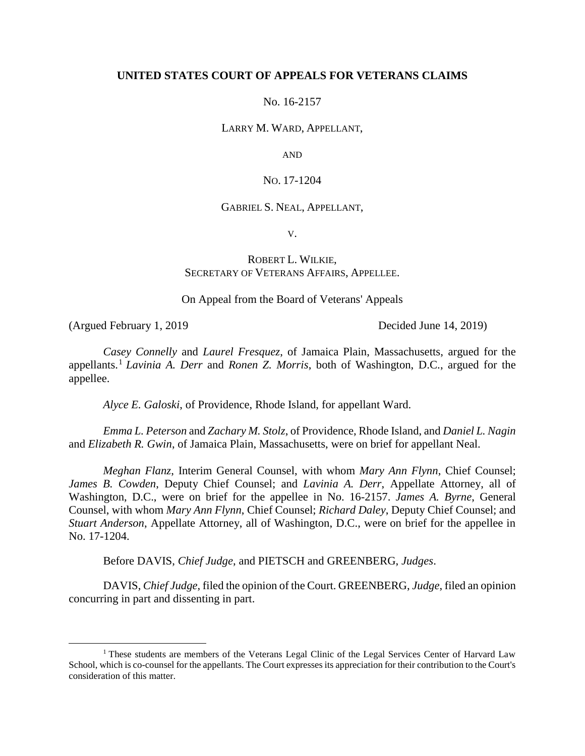### **UNITED STATES COURT OF APPEALS FOR VETERANS CLAIMS**

No. 16-2157

LARRY M. WARD, APPELLANT,

AND

NO. 17-1204

### GABRIEL S. NEAL, APPELLANT,

V.

### ROBERT L. WILKIE, SECRETARY OF VETERANS AFFAIRS, APPELLEE.

On Appeal from the Board of Veterans' Appeals

(Argued February 1, 2019 Decided June 14, 2019)

 $\overline{a}$ 

*Casey Connelly* and *Laurel Fresquez*, of Jamaica Plain, Massachusetts, argued for the appellants.<sup>1</sup> *Lavinia A. Derr* and *Ronen Z. Morris*, both of Washington, D.C., argued for the appellee.

*Alyce E. Galoski*, of Providence, Rhode Island, for appellant Ward.

*Emma L. Peterson* and *Zachary M. Stolz*, of Providence, Rhode Island, and *Daniel L. Nagin* and *Elizabeth R. Gwin*, of Jamaica Plain, Massachusetts, were on brief for appellant Neal.

*Meghan Flanz*, Interim General Counsel, with whom *Mary Ann Flynn*, Chief Counsel; *James B. Cowden*, Deputy Chief Counsel; and *Lavinia A. Derr*, Appellate Attorney, all of Washington, D.C., were on brief for the appellee in No. 16-2157. *James A. Byrne*, General Counsel, with whom *Mary Ann Flynn*, Chief Counsel; *Richard Daley*, Deputy Chief Counsel; and *Stuart Anderson*, Appellate Attorney, all of Washington, D.C., were on brief for the appellee in No. 17-1204.

Before DAVIS, *Chief Judge*, and PIETSCH and GREENBERG, *Judges*.

DAVIS, *Chief Judge*, filed the opinion of the Court. GREENBERG, *Judge*, filed an opinion concurring in part and dissenting in part.

<sup>&</sup>lt;sup>1</sup> These students are members of the Veterans Legal Clinic of the Legal Services Center of Harvard Law School, which is co-counsel for the appellants. The Court expresses its appreciation for their contribution to the Court's consideration of this matter.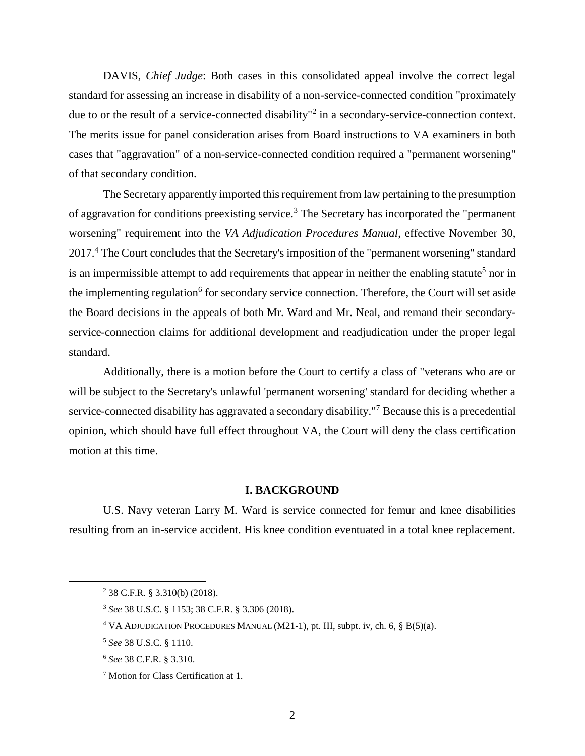DAVIS, *Chief Judge*: Both cases in this consolidated appeal involve the correct legal standard for assessing an increase in disability of a non-service-connected condition "proximately due to or the result of a service-connected disability<sup>"2</sup> in a secondary-service-connection context. The merits issue for panel consideration arises from Board instructions to VA examiners in both cases that "aggravation" of a non-service-connected condition required a "permanent worsening" of that secondary condition.

The Secretary apparently imported this requirement from law pertaining to the presumption of aggravation for conditions preexisting service.<sup>3</sup> The Secretary has incorporated the "permanent" worsening" requirement into the *VA Adjudication Procedures Manual*, effective November 30, 2017.<sup>4</sup> The Court concludes that the Secretary's imposition of the "permanent worsening" standard is an impermissible attempt to add requirements that appear in neither the enabling statute<sup>5</sup> nor in the implementing regulation<sup>6</sup> for secondary service connection. Therefore, the Court will set aside the Board decisions in the appeals of both Mr. Ward and Mr. Neal, and remand their secondaryservice-connection claims for additional development and readjudication under the proper legal standard.

Additionally, there is a motion before the Court to certify a class of "veterans who are or will be subject to the Secretary's unlawful 'permanent worsening' standard for deciding whether a service-connected disability has aggravated a secondary disability."<sup>7</sup> Because this is a precedential opinion, which should have full effect throughout VA, the Court will deny the class certification motion at this time.

### **I. BACKGROUND**

U.S. Navy veteran Larry M. Ward is service connected for femur and knee disabilities resulting from an in-service accident. His knee condition eventuated in a total knee replacement.

<sup>2</sup> 38 C.F.R. § 3.310(b) (2018).

<sup>3</sup> *See* 38 U.S.C. § 1153; 38 C.F.R. § 3.306 (2018).

<sup>4</sup> VA ADJUDICATION PROCEDURES MANUAL (M21-1), pt. III, subpt. iv, ch. 6, § B(5)(a).

<sup>5</sup> *See* 38 U.S.C. § 1110.

<sup>6</sup> *See* 38 C.F.R. § 3.310.

<sup>&</sup>lt;sup>7</sup> Motion for Class Certification at 1.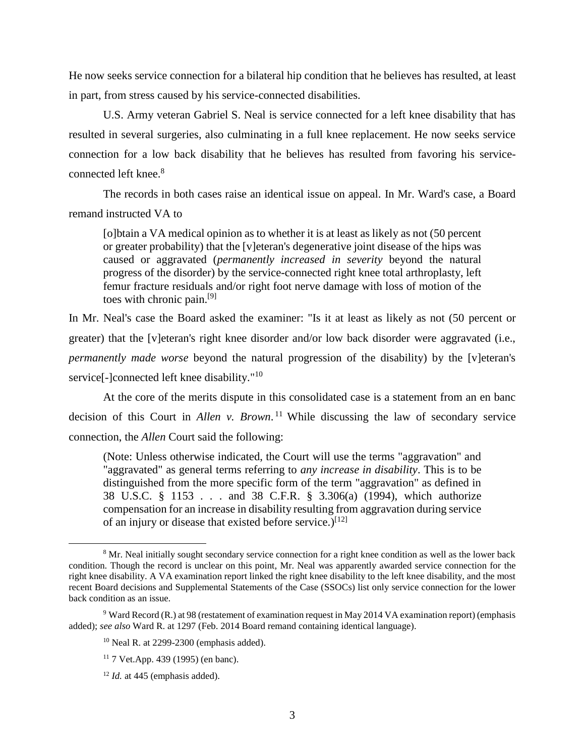He now seeks service connection for a bilateral hip condition that he believes has resulted, at least in part, from stress caused by his service-connected disabilities.

U.S. Army veteran Gabriel S. Neal is service connected for a left knee disability that has resulted in several surgeries, also culminating in a full knee replacement. He now seeks service connection for a low back disability that he believes has resulted from favoring his serviceconnected left knee.<sup>8</sup>

The records in both cases raise an identical issue on appeal. In Mr. Ward's case, a Board remand instructed VA to

[o]btain a VA medical opinion as to whether it is at least as likely as not (50 percent or greater probability) that the [v]eteran's degenerative joint disease of the hips was caused or aggravated (*permanently increased in severity* beyond the natural progress of the disorder) by the service-connected right knee total arthroplasty, left femur fracture residuals and/or right foot nerve damage with loss of motion of the toes with chronic pain.[9]

In Mr. Neal's case the Board asked the examiner: "Is it at least as likely as not (50 percent or greater) that the [v]eteran's right knee disorder and/or low back disorder were aggravated (i.e., *permanently made worse* beyond the natural progression of the disability) by the [v]eteran's service[-]connected left knee disability."<sup>10</sup>

At the core of the merits dispute in this consolidated case is a statement from an en banc decision of this Court in *Allen v. Brown*. <sup>11</sup> While discussing the law of secondary service connection, the *Allen* Court said the following:

(Note: Unless otherwise indicated, the Court will use the terms "aggravation" and "aggravated" as general terms referring to *any increase in disability*. This is to be distinguished from the more specific form of the term "aggravation" as defined in 38 U.S.C. § 1153 . . . and 38 C.F.R. § 3.306(a) (1994), which authorize compensation for an increase in disability resulting from aggravation during service of an injury or disease that existed before service.)<sup>[12]</sup>

<sup>8</sup> Mr. Neal initially sought secondary service connection for a right knee condition as well as the lower back condition. Though the record is unclear on this point, Mr. Neal was apparently awarded service connection for the right knee disability. A VA examination report linked the right knee disability to the left knee disability, and the most recent Board decisions and Supplemental Statements of the Case (SSOCs) list only service connection for the lower back condition as an issue.

<sup>9</sup> Ward Record (R.) at 98 (restatement of examination request in May 2014 VA examination report) (emphasis added); *see also* Ward R. at 1297 (Feb. 2014 Board remand containing identical language).

<sup>10</sup> Neal R. at 2299-2300 (emphasis added).

<sup>11</sup> 7 Vet.App. 439 (1995) (en banc).

 $12$  *Id.* at 445 (emphasis added).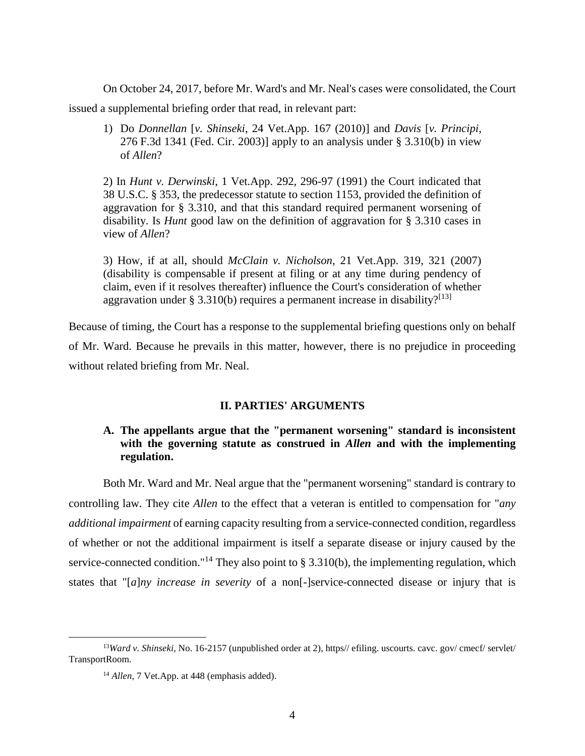On October 24, 2017, before Mr. Ward's and Mr. Neal's cases were consolidated, the Court

issued a supplemental briefing order that read, in relevant part:

1) Do *Donnellan* [*v. Shinseki*, 24 Vet.App. 167 (2010)] and *Davis* [*v. Principi*, 276 F.3d 1341 (Fed. Cir. 2003)] apply to an analysis under § 3.310(b) in view of *Allen*?

2) In *Hunt v. Derwinski*, 1 Vet.App. 292, 296-97 (1991) the Court indicated that 38 U.S.C. § 353, the predecessor statute to section 1153, provided the definition of aggravation for § 3.310, and that this standard required permanent worsening of disability. Is *Hunt* good law on the definition of aggravation for § 3.310 cases in view of *Allen*?

3) How, if at all, should *McClain v. Nicholson*, 21 Vet.App. 319, 321 (2007) (disability is compensable if present at filing or at any time during pendency of claim, even if it resolves thereafter) influence the Court's consideration of whether aggravation under § 3.310(b) requires a permanent increase in disability?<sup>[13]</sup>

Because of timing, the Court has a response to the supplemental briefing questions only on behalf of Mr. Ward. Because he prevails in this matter, however, there is no prejudice in proceeding without related briefing from Mr. Neal.

### **II. PARTIES' ARGUMENTS**

# **A. The appellants argue that the "permanent worsening" standard is inconsistent with the governing statute as construed in** *Allen* **and with the implementing regulation.**

Both Mr. Ward and Mr. Neal argue that the "permanent worsening" standard is contrary to controlling law. They cite *Allen* to the effect that a veteran is entitled to compensation for "*any additional impairment* of earning capacity resulting from a service-connected condition, regardless of whether or not the additional impairment is itself a separate disease or injury caused by the service-connected condition."<sup>14</sup> They also point to § 3.310(b), the implementing regulation, which states that "[*a*]*ny increase in severity* of a non[-]service-connected disease or injury that is

<sup>&</sup>lt;sup>13</sup>*Ward v. Shinseki*, No. 16-2157 (unpublished order at 2), https// efiling. uscourts. cavc. gov/ cmecf/ servlet/ TransportRoom.

<sup>&</sup>lt;sup>14</sup> *Allen*, 7 Vet.App. at 448 (emphasis added).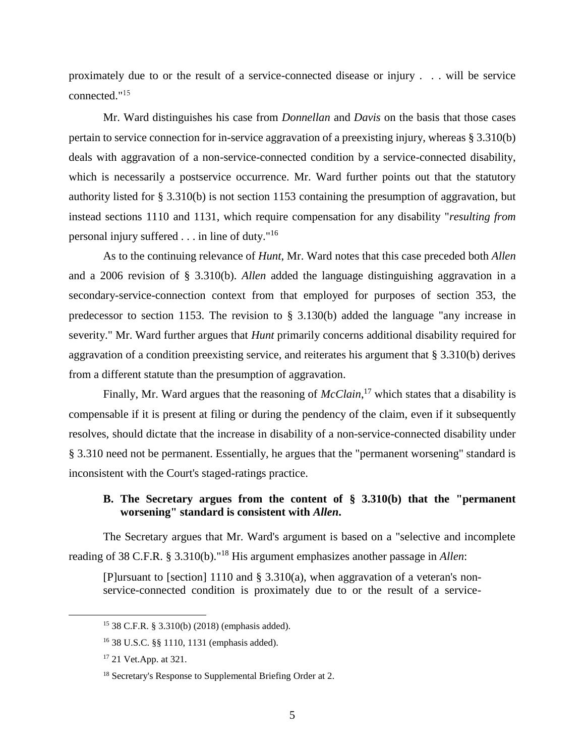proximately due to or the result of a service-connected disease or injury . . . will be service connected."<sup>15</sup>

Mr. Ward distinguishes his case from *Donnellan* and *Davis* on the basis that those cases pertain to service connection for in-service aggravation of a preexisting injury, whereas § 3.310(b) deals with aggravation of a non-service-connected condition by a service-connected disability, which is necessarily a postservice occurrence. Mr. Ward further points out that the statutory authority listed for § 3.310(b) is not section 1153 containing the presumption of aggravation, but instead sections 1110 and 1131, which require compensation for any disability "*resulting from* personal injury suffered . . . in line of duty."<sup>16</sup>

As to the continuing relevance of *Hunt*, Mr. Ward notes that this case preceded both *Allen*  and a 2006 revision of § 3.310(b). *Allen* added the language distinguishing aggravation in a secondary-service-connection context from that employed for purposes of section 353, the predecessor to section 1153. The revision to § 3.130(b) added the language "any increase in severity." Mr. Ward further argues that *Hunt* primarily concerns additional disability required for aggravation of a condition preexisting service, and reiterates his argument that § 3.310(b) derives from a different statute than the presumption of aggravation.

Finally, Mr. Ward argues that the reasoning of *McClain*, <sup>17</sup> which states that a disability is compensable if it is present at filing or during the pendency of the claim, even if it subsequently resolves, should dictate that the increase in disability of a non-service-connected disability under § 3.310 need not be permanent. Essentially, he argues that the "permanent worsening" standard is inconsistent with the Court's staged-ratings practice.

## **B. The Secretary argues from the content of § 3.310(b) that the "permanent worsening" standard is consistent with** *Allen***.**

The Secretary argues that Mr. Ward's argument is based on a "selective and incomplete reading of 38 C.F.R. § 3.310(b)."<sup>18</sup> His argument emphasizes another passage in *Allen*:

[P]ursuant to [section] 1110 and  $\S$  3.310(a), when aggravation of a veteran's nonservice-connected condition is proximately due to or the result of a service-

<sup>15</sup> 38 C.F.R. § 3.310(b) (2018) (emphasis added).

<sup>16</sup> 38 U.S.C. §§ 1110, 1131 (emphasis added).

<sup>17</sup> 21 Vet.App. at 321.

<sup>&</sup>lt;sup>18</sup> Secretary's Response to Supplemental Briefing Order at 2.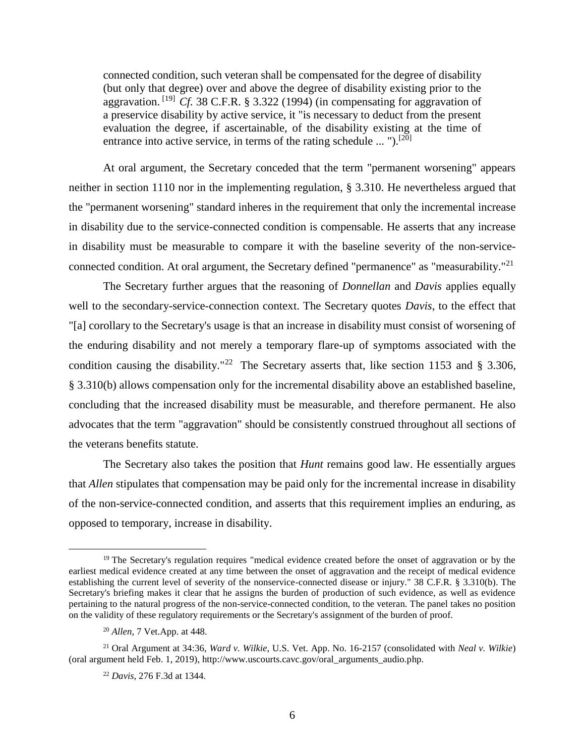connected condition, such veteran shall be compensated for the degree of disability (but only that degree) over and above the degree of disability existing prior to the aggravation. [19] *Cf.* 38 C.F.R. § 3.322 (1994) (in compensating for aggravation of a preservice disability by active service, it "is necessary to deduct from the present evaluation the degree, if ascertainable, of the disability existing at the time of entrance into active service, in terms of the rating schedule ... " $\mathcal{L}^{[20]}$ 

At oral argument, the Secretary conceded that the term "permanent worsening" appears neither in section 1110 nor in the implementing regulation, § 3.310. He nevertheless argued that the "permanent worsening" standard inheres in the requirement that only the incremental increase in disability due to the service-connected condition is compensable. He asserts that any increase in disability must be measurable to compare it with the baseline severity of the non-serviceconnected condition. At oral argument, the Secretary defined "permanence" as "measurability."<sup>21</sup>

The Secretary further argues that the reasoning of *Donnellan* and *Davis* applies equally well to the secondary-service-connection context. The Secretary quotes *Davis*, to the effect that "[a] corollary to the Secretary's usage is that an increase in disability must consist of worsening of the enduring disability and not merely a temporary flare-up of symptoms associated with the condition causing the disability."<sup>22</sup> The Secretary asserts that, like section 1153 and § 3.306, § 3.310(b) allows compensation only for the incremental disability above an established baseline, concluding that the increased disability must be measurable, and therefore permanent. He also advocates that the term "aggravation" should be consistently construed throughout all sections of the veterans benefits statute.

The Secretary also takes the position that *Hunt* remains good law. He essentially argues that *Allen* stipulates that compensation may be paid only for the incremental increase in disability of the non-service-connected condition, and asserts that this requirement implies an enduring, as opposed to temporary, increase in disability.

<sup>&</sup>lt;sup>19</sup> The Secretary's regulation requires "medical evidence created before the onset of aggravation or by the earliest medical evidence created at any time between the onset of aggravation and the receipt of medical evidence establishing the current level of severity of the nonservice-connected disease or injury." 38 C.F.R. § 3.310(b). The Secretary's briefing makes it clear that he assigns the burden of production of such evidence, as well as evidence pertaining to the natural progress of the non-service-connected condition, to the veteran. The panel takes no position on the validity of these regulatory requirements or the Secretary's assignment of the burden of proof.

<sup>20</sup> *Allen*, 7 Vet.App. at 448.

<sup>21</sup> Oral Argument at 34:36, *Ward v. Wilkie*, U.S. Vet. App. No. 16-2157 (consolidated with *Neal v. Wilkie*) (oral argument held Feb. 1, 2019), http://www.uscourts.cavc.gov/oral\_arguments\_audio.php.

<sup>22</sup> *Davis*, 276 F.3d at 1344.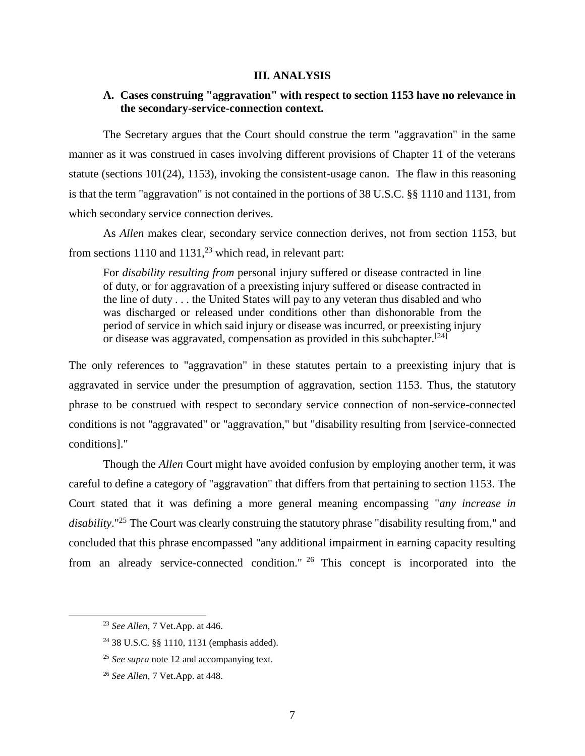#### **III. ANALYSIS**

## **A. Cases construing "aggravation" with respect to section 1153 have no relevance in the secondary-service-connection context.**

The Secretary argues that the Court should construe the term "aggravation" in the same manner as it was construed in cases involving different provisions of Chapter 11 of the veterans statute (sections 101(24), 1153), invoking the consistent-usage canon. The flaw in this reasoning is that the term "aggravation" is not contained in the portions of 38 U.S.C. §§ 1110 and 1131, from which secondary service connection derives.

As *Allen* makes clear, secondary service connection derives, not from section 1153, but from sections 1110 and 1131,<sup>23</sup> which read, in relevant part:

For *disability resulting from* personal injury suffered or disease contracted in line of duty, or for aggravation of a preexisting injury suffered or disease contracted in the line of duty . . . the United States will pay to any veteran thus disabled and who was discharged or released under conditions other than dishonorable from the period of service in which said injury or disease was incurred, or preexisting injury or disease was aggravated, compensation as provided in this subchapter.<sup>[24]</sup>

The only references to "aggravation" in these statutes pertain to a preexisting injury that is aggravated in service under the presumption of aggravation, section 1153. Thus, the statutory phrase to be construed with respect to secondary service connection of non-service-connected conditions is not "aggravated" or "aggravation," but "disability resulting from [service-connected conditions]."

Though the *Allen* Court might have avoided confusion by employing another term, it was careful to define a category of "aggravation" that differs from that pertaining to section 1153. The Court stated that it was defining a more general meaning encompassing "*any increase in disability*." <sup>25</sup> The Court was clearly construing the statutory phrase "disability resulting from," and concluded that this phrase encompassed "any additional impairment in earning capacity resulting from an already service-connected condition." <sup>26</sup> This concept is incorporated into the

<sup>23</sup> *See Allen*, 7 Vet.App. at 446.

<sup>24</sup> 38 U.S.C. §§ 1110, 1131 (emphasis added).

<sup>25</sup> *See supra* note 12 and accompanying text.

<sup>26</sup> *See Allen*, 7 Vet.App. at 448.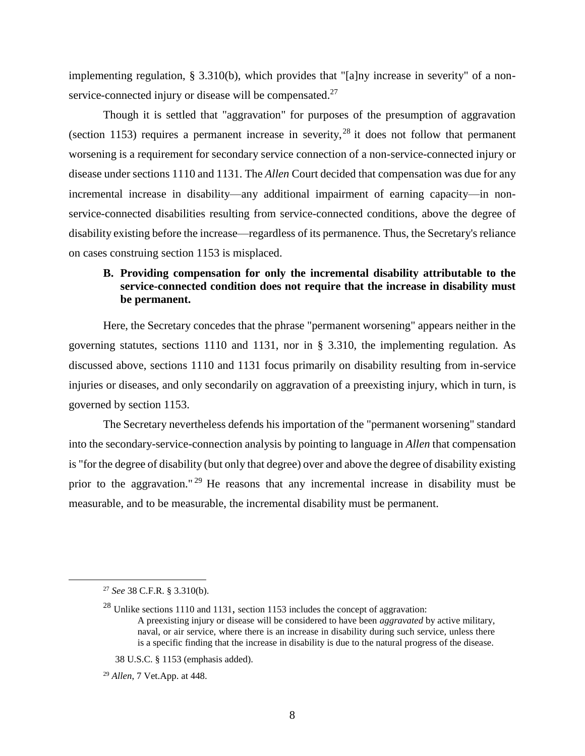implementing regulation, § 3.310(b), which provides that "[a]ny increase in severity" of a nonservice-connected injury or disease will be compensated.<sup>27</sup>

Though it is settled that "aggravation" for purposes of the presumption of aggravation (section 1153) requires a permanent increase in severity,  $^{28}$  it does not follow that permanent worsening is a requirement for secondary service connection of a non-service-connected injury or disease under sections 1110 and 1131. The *Allen* Court decided that compensation was due for any incremental increase in disability—any additional impairment of earning capacity—in nonservice-connected disabilities resulting from service-connected conditions, above the degree of disability existing before the increase—regardless of its permanence. Thus, the Secretary's reliance on cases construing section 1153 is misplaced.

# **B. Providing compensation for only the incremental disability attributable to the service-connected condition does not require that the increase in disability must be permanent.**

Here, the Secretary concedes that the phrase "permanent worsening" appears neither in the governing statutes, sections 1110 and 1131, nor in § 3.310, the implementing regulation. As discussed above, sections 1110 and 1131 focus primarily on disability resulting from in-service injuries or diseases, and only secondarily on aggravation of a preexisting injury, which in turn, is governed by section 1153.

The Secretary nevertheless defends his importation of the "permanent worsening" standard into the secondary-service-connection analysis by pointing to language in *Allen* that compensation is "for the degree of disability (but only that degree) over and above the degree of disability existing prior to the aggravation." <sup>29</sup> He reasons that any incremental increase in disability must be measurable, and to be measurable, the incremental disability must be permanent.

<sup>27</sup> *See* 38 C.F.R. § 3.310(b).

<sup>28</sup> Unlike sections 1110 and 1131, section 1153 includes the concept of aggravation: A preexisting injury or disease will be considered to have been *aggravated* by active military, naval, or air service, where there is an increase in disability during such service, unless there is a specific finding that the increase in disability is due to the natural progress of the disease.

 <sup>38</sup> U.S.C. § 1153 (emphasis added).

<sup>29</sup> *Allen*, 7 Vet.App. at 448.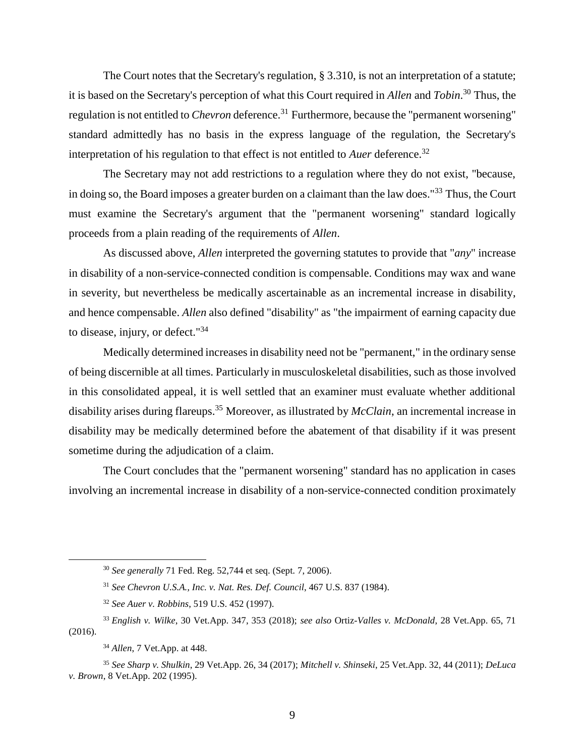The Court notes that the Secretary's regulation, § 3.310, is not an interpretation of a statute; it is based on the Secretary's perception of what this Court required in *Allen* and *Tobin*. <sup>30</sup> Thus, the regulation is not entitled to *Chevron* deference.<sup>31</sup> Furthermore, because the "permanent worsening" standard admittedly has no basis in the express language of the regulation, the Secretary's interpretation of his regulation to that effect is not entitled to *Auer* deference.<sup>32</sup>

The Secretary may not add restrictions to a regulation where they do not exist, "because, in doing so, the Board imposes a greater burden on a claimant than the law does."<sup>33</sup> Thus, the Court must examine the Secretary's argument that the "permanent worsening" standard logically proceeds from a plain reading of the requirements of *Allen*.

As discussed above, *Allen* interpreted the governing statutes to provide that "*any*" increase in disability of a non-service-connected condition is compensable. Conditions may wax and wane in severity, but nevertheless be medically ascertainable as an incremental increase in disability, and hence compensable. *Allen* also defined "disability" as "the impairment of earning capacity due to disease, injury, or defect."<sup>34</sup>

Medically determined increases in disability need not be "permanent," in the ordinary sense of being discernible at all times. Particularly in musculoskeletal disabilities, such as those involved in this consolidated appeal, it is well settled that an examiner must evaluate whether additional disability arises during flareups. <sup>35</sup> Moreover, as illustrated by *McClain*, an incremental increase in disability may be medically determined before the abatement of that disability if it was present sometime during the adjudication of a claim.

The Court concludes that the "permanent worsening" standard has no application in cases involving an incremental increase in disability of a non-service-connected condition proximately

<sup>30</sup> *See generally* 71 Fed. Reg. 52,744 et seq. (Sept. 7, 2006).

<sup>31</sup> *See Chevron U.S.A., Inc. v. Nat. Res. Def. Council*, 467 U.S. 837 (1984).

<sup>32</sup> *See Auer v. Robbins*, 519 U.S. 452 (1997).

<sup>33</sup> *English v. Wilke*, 30 Vet.App. 347, 353 (2018); *see also* Ortiz*-Valles v. McDonald*, 28 Vet.App. 65, 71 (2016).

<sup>34</sup> *Allen*, 7 Vet.App. at 448.

<sup>35</sup> *See Sharp v. Shulkin*, 29 Vet.App. 26, 34 (2017); *Mitchell v. Shinseki*, 25 Vet.App. 32, 44 (2011); *DeLuca v. Brown*, 8 Vet.App. 202 (1995).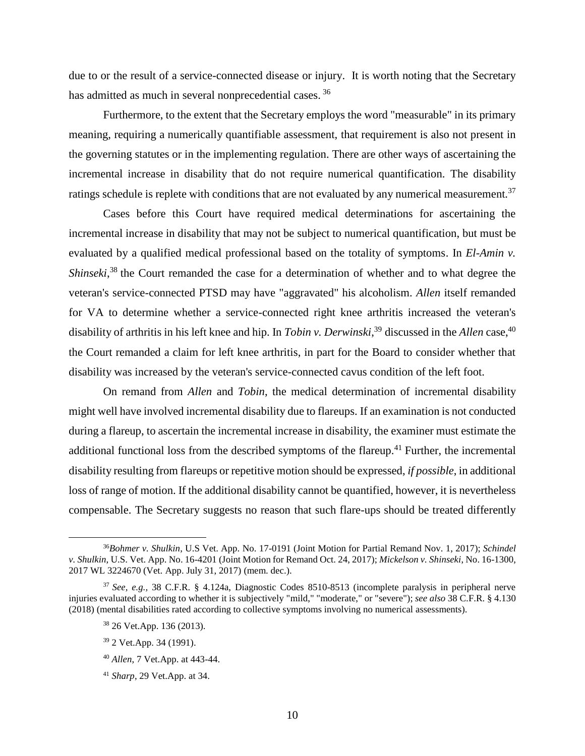due to or the result of a service-connected disease or injury. It is worth noting that the Secretary has admitted as much in several nonprecedential cases.<sup>36</sup>

Furthermore, to the extent that the Secretary employs the word "measurable" in its primary meaning, requiring a numerically quantifiable assessment, that requirement is also not present in the governing statutes or in the implementing regulation. There are other ways of ascertaining the incremental increase in disability that do not require numerical quantification. The disability ratings schedule is replete with conditions that are not evaluated by any numerical measurement.<sup>37</sup>

Cases before this Court have required medical determinations for ascertaining the incremental increase in disability that may not be subject to numerical quantification, but must be evaluated by a qualified medical professional based on the totality of symptoms. In *El-Amin v. Shinseki*, <sup>38</sup> the Court remanded the case for a determination of whether and to what degree the veteran's service-connected PTSD may have "aggravated" his alcoholism. *Allen* itself remanded for VA to determine whether a service-connected right knee arthritis increased the veteran's disability of arthritis in his left knee and hip. In *Tobin v. Derwinski*,<sup>39</sup> discussed in the *Allen* case,<sup>40</sup> the Court remanded a claim for left knee arthritis, in part for the Board to consider whether that disability was increased by the veteran's service-connected cavus condition of the left foot.

On remand from *Allen* and *Tobin*, the medical determination of incremental disability might well have involved incremental disability due to flareups. If an examination is not conducted during a flareup, to ascertain the incremental increase in disability, the examiner must estimate the additional functional loss from the described symptoms of the flareup.<sup>41</sup> Further, the incremental disability resulting from flareups or repetitive motion should be expressed, *if possible*, in additional loss of range of motion. If the additional disability cannot be quantified, however, it is nevertheless compensable. The Secretary suggests no reason that such flare-ups should be treated differently

<sup>36</sup>*Bohmer v. Shulkin*, U.S Vet. App. No. 17-0191 (Joint Motion for Partial Remand Nov. 1, 2017); *Schindel v. Shulkin*, U.S. Vet. App. No. 16-4201 (Joint Motion for Remand Oct. 24, 2017); *Mickelson v. Shinseki*, No. 16-1300, 2017 WL 3224670 (Vet. App. July 31, 2017) (mem. dec.).

<sup>37</sup> *See, e.g.,* 38 C.F.R. § 4.124a, Diagnostic Codes 8510-8513 (incomplete paralysis in peripheral nerve injuries evaluated according to whether it is subjectively "mild," "moderate," or "severe"); *see also* 38 C.F.R. § 4.130 (2018) (mental disabilities rated according to collective symptoms involving no numerical assessments).

<sup>38</sup> 26 Vet.App. 136 (2013).

<sup>39</sup> 2 Vet.App. 34 (1991).

<sup>40</sup> *Allen*, 7 Vet.App. at 443-44.

<sup>41</sup> *Sharp*, 29 Vet.App. at 34.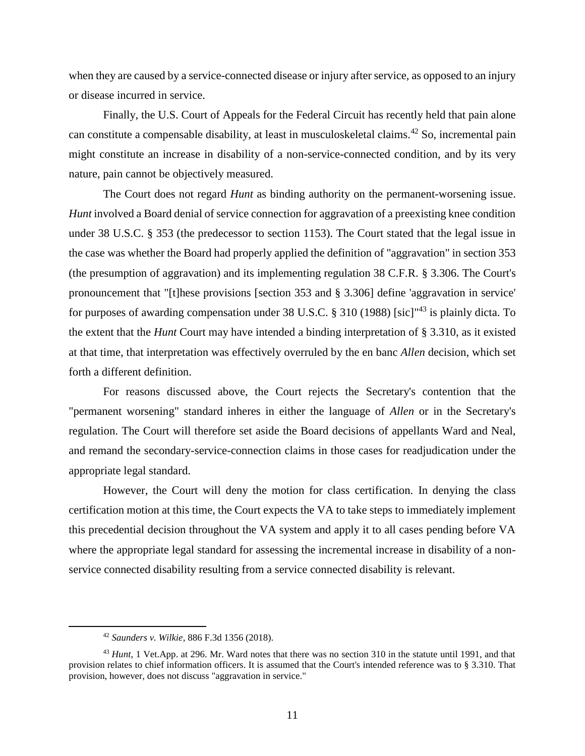when they are caused by a service-connected disease or injury after service, as opposed to an injury or disease incurred in service.

Finally, the U.S. Court of Appeals for the Federal Circuit has recently held that pain alone can constitute a compensable disability, at least in musculoskeletal claims.<sup>42</sup> So, incremental pain might constitute an increase in disability of a non-service-connected condition, and by its very nature, pain cannot be objectively measured.

The Court does not regard *Hunt* as binding authority on the permanent-worsening issue. *Hunt* involved a Board denial of service connection for aggravation of a preexisting knee condition under 38 U.S.C. § 353 (the predecessor to section 1153). The Court stated that the legal issue in the case was whether the Board had properly applied the definition of "aggravation" in section 353 (the presumption of aggravation) and its implementing regulation 38 C.F.R. § 3.306. The Court's pronouncement that "[t]hese provisions [section 353 and § 3.306] define 'aggravation in service' for purposes of awarding compensation under 38 U.S.C.  $\S$  310 (1988) [sic]<sup> $43$ </sup> is plainly dicta. To the extent that the *Hunt* Court may have intended a binding interpretation of § 3.310, as it existed at that time, that interpretation was effectively overruled by the en banc *Allen* decision, which set forth a different definition.

For reasons discussed above, the Court rejects the Secretary's contention that the "permanent worsening" standard inheres in either the language of *Allen* or in the Secretary's regulation. The Court will therefore set aside the Board decisions of appellants Ward and Neal, and remand the secondary-service-connection claims in those cases for readjudication under the appropriate legal standard.

However, the Court will deny the motion for class certification. In denying the class certification motion at this time, the Court expects the VA to take steps to immediately implement this precedential decision throughout the VA system and apply it to all cases pending before VA where the appropriate legal standard for assessing the incremental increase in disability of a nonservice connected disability resulting from a service connected disability is relevant.

<sup>42</sup> *Saunders v. Wilkie*, 886 F.3d 1356 (2018).

<sup>43</sup> *Hunt*, 1 Vet.App. at 296. Mr. Ward notes that there was no section 310 in the statute until 1991, and that provision relates to chief information officers. It is assumed that the Court's intended reference was to § 3.310. That provision, however, does not discuss "aggravation in service."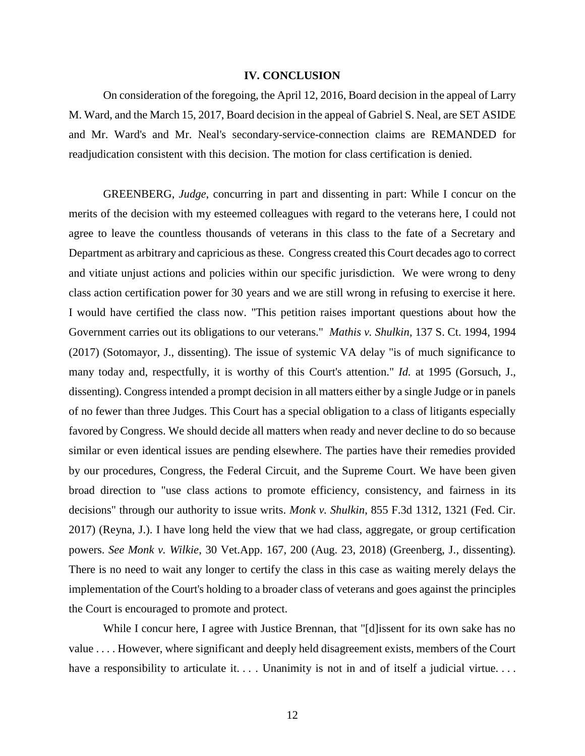### **IV. CONCLUSION**

On consideration of the foregoing, the April 12, 2016, Board decision in the appeal of Larry M. Ward, and the March 15, 2017, Board decision in the appeal of Gabriel S. Neal, are SET ASIDE and Mr. Ward's and Mr. Neal's secondary-service-connection claims are REMANDED for readjudication consistent with this decision. The motion for class certification is denied.

GREENBERG, *Judge*, concurring in part and dissenting in part: While I concur on the merits of the decision with my esteemed colleagues with regard to the veterans here, I could not agree to leave the countless thousands of veterans in this class to the fate of a Secretary and Department as arbitrary and capricious as these. Congress created this Court decades ago to correct and vitiate unjust actions and policies within our specific jurisdiction. We were wrong to deny class action certification power for 30 years and we are still wrong in refusing to exercise it here. I would have certified the class now. "This petition raises important questions about how the Government carries out its obligations to our veterans." *Mathis v. Shulkin*, 137 S. Ct. 1994, 1994 (2017) (Sotomayor, J., dissenting). The issue of systemic VA delay "is of much significance to many today and, respectfully, it is worthy of this Court's attention." *Id.* at 1995 (Gorsuch, J., dissenting). Congress intended a prompt decision in all matters either by a single Judge or in panels of no fewer than three Judges. This Court has a special obligation to a class of litigants especially favored by Congress. We should decide all matters when ready and never decline to do so because similar or even identical issues are pending elsewhere. The parties have their remedies provided by our procedures, Congress, the Federal Circuit, and the Supreme Court. We have been given broad direction to "use class actions to promote efficiency, consistency, and fairness in its decisions" through our authority to issue writs. *Monk v. Shulkin*, 855 F.3d 1312, 1321 (Fed. Cir. 2017) (Reyna, J.). I have long held the view that we had class, aggregate, or group certification powers. *See Monk v. Wilkie*, 30 Vet.App. 167, 200 (Aug. 23, 2018) (Greenberg, J., dissenting)*.* There is no need to wait any longer to certify the class in this case as waiting merely delays the implementation of the Court's holding to a broader class of veterans and goes against the principles the Court is encouraged to promote and protect.

While I concur here, I agree with Justice Brennan, that "[d]issent for its own sake has no value . . . . However, where significant and deeply held disagreement exists, members of the Court have a responsibility to articulate it. . . Unanimity is not in and of itself a judicial virtue. . . .